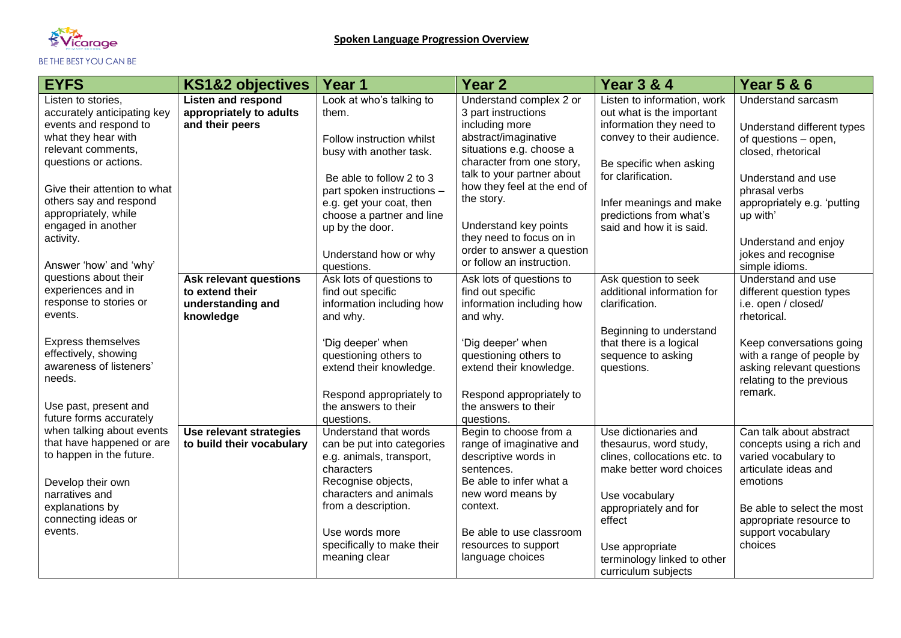

| <b>EYFS</b>                                            | <b>KS1&amp;2 objectives</b>                          | Year 1                                                 | <b>Year 2</b>                                          | <b>Year 3 &amp; 4</b>                                    | <b>Year 5 &amp; 6</b>                                 |
|--------------------------------------------------------|------------------------------------------------------|--------------------------------------------------------|--------------------------------------------------------|----------------------------------------------------------|-------------------------------------------------------|
| Listen to stories,<br>accurately anticipating key      | <b>Listen and respond</b><br>appropriately to adults | Look at who's talking to<br>them.                      | Understand complex 2 or<br>3 part instructions         | Listen to information, work<br>out what is the important | Understand sarcasm                                    |
| events and respond to                                  | and their peers                                      |                                                        | including more                                         | information they need to                                 | Understand different types                            |
| what they hear with<br>relevant comments,              |                                                      | Follow instruction whilst<br>busy with another task.   | abstract/imaginative<br>situations e.g. choose a       | convey to their audience.                                | of questions - open,<br>closed, rhetorical            |
| questions or actions.                                  |                                                      |                                                        | character from one story,                              | Be specific when asking                                  |                                                       |
|                                                        |                                                      | Be able to follow 2 to 3                               | talk to your partner about                             | for clarification.                                       | Understand and use                                    |
| Give their attention to what<br>others say and respond |                                                      | part spoken instructions -                             | how they feel at the end of<br>the story.              |                                                          | phrasal verbs                                         |
| appropriately, while                                   |                                                      | e.g. get your coat, then<br>choose a partner and line  |                                                        | Infer meanings and make<br>predictions from what's       | appropriately e.g. 'putting<br>up with'               |
| engaged in another                                     |                                                      | up by the door.                                        | Understand key points                                  | said and how it is said.                                 |                                                       |
| activity.                                              |                                                      |                                                        | they need to focus on in<br>order to answer a question |                                                          | Understand and enjoy                                  |
| Answer 'how' and 'why'                                 |                                                      | Understand how or why<br>questions.                    | or follow an instruction.                              |                                                          | jokes and recognise<br>simple idioms.                 |
| questions about their                                  | <b>Ask relevant questions</b>                        | Ask lots of questions to                               | Ask lots of questions to                               | Ask question to seek                                     | Understand and use                                    |
| experiences and in<br>response to stories or           | to extend their<br>understanding and                 | find out specific<br>information including how         | find out specific<br>information including how         | additional information for<br>clarification.             | different question types<br>i.e. open / closed/       |
| events.                                                | knowledge                                            | and why.                                               | and why.                                               |                                                          | rhetorical.                                           |
|                                                        |                                                      |                                                        |                                                        | Beginning to understand                                  |                                                       |
| <b>Express themselves</b><br>effectively, showing      |                                                      | 'Dig deeper' when<br>questioning others to             | 'Dig deeper' when<br>questioning others to             | that there is a logical<br>sequence to asking            | Keep conversations going<br>with a range of people by |
| awareness of listeners'                                |                                                      | extend their knowledge.                                | extend their knowledge.                                | questions.                                               | asking relevant questions                             |
| needs.                                                 |                                                      |                                                        |                                                        |                                                          | relating to the previous                              |
|                                                        |                                                      | Respond appropriately to                               | Respond appropriately to                               |                                                          | remark.                                               |
| Use past, present and<br>future forms accurately       |                                                      | the answers to their<br>questions.                     | the answers to their<br>questions.                     |                                                          |                                                       |
| when talking about events                              | Use relevant strategies                              | Understand that words                                  | Begin to choose from a                                 | Use dictionaries and                                     | Can talk about abstract                               |
| that have happened or are<br>to happen in the future.  | to build their vocabulary                            | can be put into categories<br>e.g. animals, transport, | range of imaginative and<br>descriptive words in       | thesaurus, word study,<br>clines, collocations etc. to   | concepts using a rich and<br>varied vocabulary to     |
|                                                        |                                                      | characters                                             | sentences.                                             | make better word choices                                 | articulate ideas and                                  |
| Develop their own                                      |                                                      | Recognise objects,                                     | Be able to infer what a                                |                                                          | emotions                                              |
| narratives and<br>explanations by                      |                                                      | characters and animals<br>from a description.          | new word means by<br>context.                          | Use vocabulary                                           |                                                       |
| connecting ideas or                                    |                                                      |                                                        |                                                        | appropriately and for<br>effect                          | Be able to select the most<br>appropriate resource to |
| events.                                                |                                                      | Use words more                                         | Be able to use classroom                               |                                                          | support vocabulary                                    |
|                                                        |                                                      | specifically to make their                             | resources to support                                   | Use appropriate                                          | choices                                               |
|                                                        |                                                      | meaning clear                                          | language choices                                       | terminology linked to other<br>curriculum subjects       |                                                       |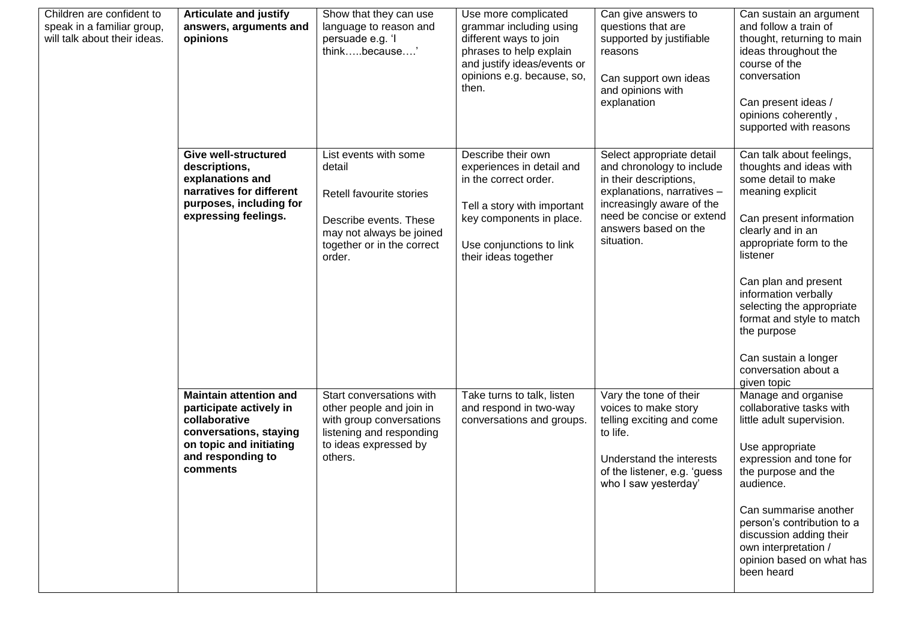| Children are confident to<br>speak in a familiar group,<br>will talk about their ideas. | <b>Articulate and justify</b><br>answers, arguments and<br>opinions                                                                                             | Show that they can use<br>language to reason and<br>persuade e.g. 'I<br>thinkbecause'                                                                     | Use more complicated<br>grammar including using<br>different ways to join<br>phrases to help explain<br>and justify ideas/events or<br>opinions e.g. because, so,<br>then.              | Can give answers to<br>questions that are<br>supported by justifiable<br>reasons<br>Can support own ideas<br>and opinions with<br>explanation                                                                  | Can sustain an argument<br>and follow a train of<br>thought, returning to main<br>ideas throughout the<br>course of the<br>conversation<br>Can present ideas /<br>opinions coherently,<br>supported with reasons                                                                                                                                                              |
|-----------------------------------------------------------------------------------------|-----------------------------------------------------------------------------------------------------------------------------------------------------------------|-----------------------------------------------------------------------------------------------------------------------------------------------------------|-----------------------------------------------------------------------------------------------------------------------------------------------------------------------------------------|----------------------------------------------------------------------------------------------------------------------------------------------------------------------------------------------------------------|-------------------------------------------------------------------------------------------------------------------------------------------------------------------------------------------------------------------------------------------------------------------------------------------------------------------------------------------------------------------------------|
|                                                                                         | <b>Give well-structured</b><br>descriptions,<br>explanations and<br>narratives for different<br>purposes, including for<br>expressing feelings.                 | List events with some<br>detail<br>Retell favourite stories<br>Describe events. These<br>may not always be joined<br>together or in the correct<br>order. | Describe their own<br>experiences in detail and<br>in the correct order.<br>Tell a story with important<br>key components in place.<br>Use conjunctions to link<br>their ideas together | Select appropriate detail<br>and chronology to include<br>in their descriptions,<br>explanations, narratives -<br>increasingly aware of the<br>need be concise or extend<br>answers based on the<br>situation. | Can talk about feelings,<br>thoughts and ideas with<br>some detail to make<br>meaning explicit<br>Can present information<br>clearly and in an<br>appropriate form to the<br>listener<br>Can plan and present<br>information verbally<br>selecting the appropriate<br>format and style to match<br>the purpose<br>Can sustain a longer<br>conversation about a<br>given topic |
|                                                                                         | <b>Maintain attention and</b><br>participate actively in<br>collaborative<br>conversations, staying<br>on topic and initiating<br>and responding to<br>comments | Start conversations with<br>other people and join in<br>with group conversations<br>listening and responding<br>to ideas expressed by<br>others.          | Take turns to talk, listen<br>and respond in two-way<br>conversations and groups.                                                                                                       | Vary the tone of their<br>voices to make story<br>telling exciting and come<br>to life.<br>Understand the interests<br>of the listener, e.g. 'guess<br>who I saw yesterday'                                    | Manage and organise<br>collaborative tasks with<br>little adult supervision.<br>Use appropriate<br>expression and tone for<br>the purpose and the<br>audience.<br>Can summarise another<br>person's contribution to a<br>discussion adding their<br>own interpretation /<br>opinion based on what has<br>been heard                                                           |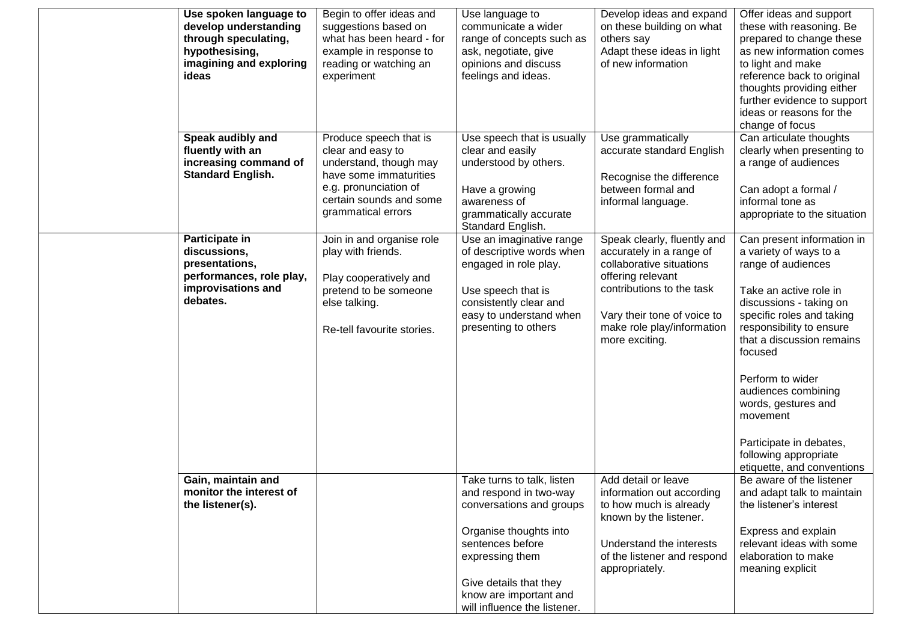| Use spoken language to<br>develop understanding<br>through speculating,<br>hypothesising,<br>imagining and exploring<br>ideas | Begin to offer ideas and<br>suggestions based on<br>what has been heard - for<br>example in response to<br>reading or watching an<br>experiment                           | Use language to<br>communicate a wider<br>range of concepts such as<br>ask, negotiate, give<br>opinions and discuss<br>feelings and ideas.                                                                                            | Develop ideas and expand<br>on these building on what<br>others say<br>Adapt these ideas in light<br>of new information                                                                                              | Offer ideas and support<br>these with reasoning. Be<br>prepared to change these<br>as new information comes<br>to light and make<br>reference back to original<br>thoughts providing either<br>further evidence to support<br>ideas or reasons for the<br>change of focus                                                                                                                        |
|-------------------------------------------------------------------------------------------------------------------------------|---------------------------------------------------------------------------------------------------------------------------------------------------------------------------|---------------------------------------------------------------------------------------------------------------------------------------------------------------------------------------------------------------------------------------|----------------------------------------------------------------------------------------------------------------------------------------------------------------------------------------------------------------------|--------------------------------------------------------------------------------------------------------------------------------------------------------------------------------------------------------------------------------------------------------------------------------------------------------------------------------------------------------------------------------------------------|
| Speak audibly and<br>fluently with an<br>increasing command of<br><b>Standard English.</b>                                    | Produce speech that is<br>clear and easy to<br>understand, though may<br>have some immaturities<br>e.g. pronunciation of<br>certain sounds and some<br>grammatical errors | Use speech that is usually<br>clear and easily<br>understood by others.<br>Have a growing<br>awareness of<br>grammatically accurate<br>Standard English.                                                                              | Use grammatically<br>accurate standard English<br>Recognise the difference<br>between formal and<br>informal language.                                                                                               | Can articulate thoughts<br>clearly when presenting to<br>a range of audiences<br>Can adopt a formal /<br>informal tone as<br>appropriate to the situation                                                                                                                                                                                                                                        |
| Participate in<br>discussions,<br>presentations,<br>performances, role play,<br>improvisations and<br>debates.                | Join in and organise role<br>play with friends.<br>Play cooperatively and<br>pretend to be someone<br>else talking.<br>Re-tell favourite stories.                         | Use an imaginative range<br>of descriptive words when<br>engaged in role play.<br>Use speech that is<br>consistently clear and<br>easy to understand when<br>presenting to others                                                     | Speak clearly, fluently and<br>accurately in a range of<br>collaborative situations<br>offering relevant<br>contributions to the task<br>Vary their tone of voice to<br>make role play/information<br>more exciting. | Can present information in<br>a variety of ways to a<br>range of audiences<br>Take an active role in<br>discussions - taking on<br>specific roles and taking<br>responsibility to ensure<br>that a discussion remains<br>focused<br>Perform to wider<br>audiences combining<br>words, gestures and<br>movement<br>Participate in debates,<br>following appropriate<br>etiquette, and conventions |
| Gain, maintain and<br>monitor the interest of<br>the listener(s).                                                             |                                                                                                                                                                           | Take turns to talk, listen<br>and respond in two-way<br>conversations and groups<br>Organise thoughts into<br>sentences before<br>expressing them<br>Give details that they<br>know are important and<br>will influence the listener. | Add detail or leave<br>information out according<br>to how much is already<br>known by the listener.<br>Understand the interests<br>of the listener and respond<br>appropriately.                                    | Be aware of the listener<br>and adapt talk to maintain<br>the listener's interest<br>Express and explain<br>relevant ideas with some<br>elaboration to make<br>meaning explicit                                                                                                                                                                                                                  |